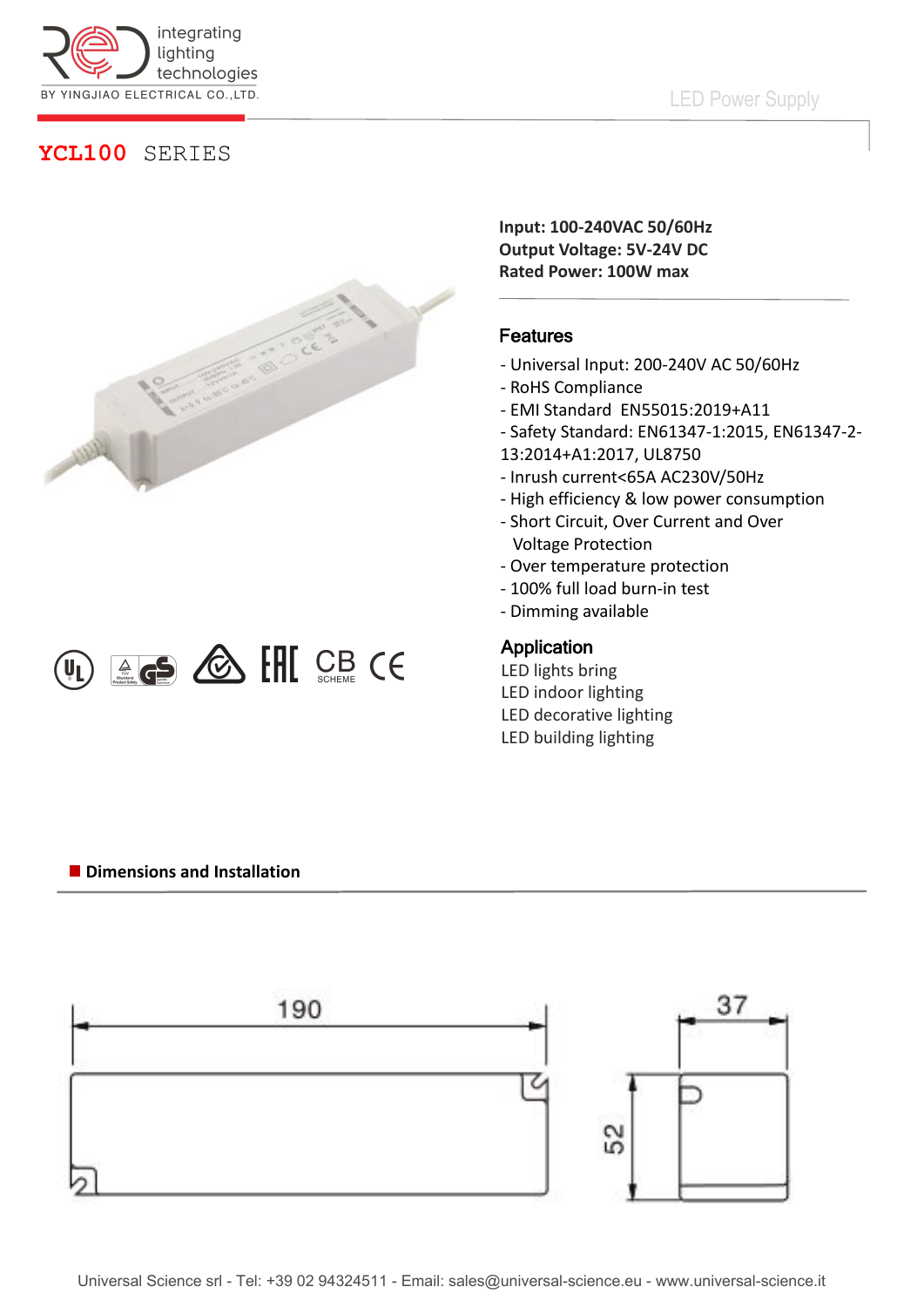

## LED Power Supply

## **YCL100** SERIES





**Input: 100-240VAC 50/60Hz Output Voltage: 5V-24V DC Rated Power: 100W max**

### Features

- Universal Input: 200-240V AC 50/60Hz
- RoHS Compliance
- EMI Standard EN55015:2019+A11
- Safety Standard: EN61347-1:2015, EN61347-2-
- 13:2014+A1:2017, UL8750
- Inrush current<65A AC230V/50Hz
- High efficiency & low power consumption
- Short Circuit, Over Current and Over Voltage Protection
- Over temperature protection
- 100% full load burn-in test
- Dimming available

#### Application

LED lights bring LED indoor lighting LED decorative lighting LED building lighting

#### **Dimensions and Installation**

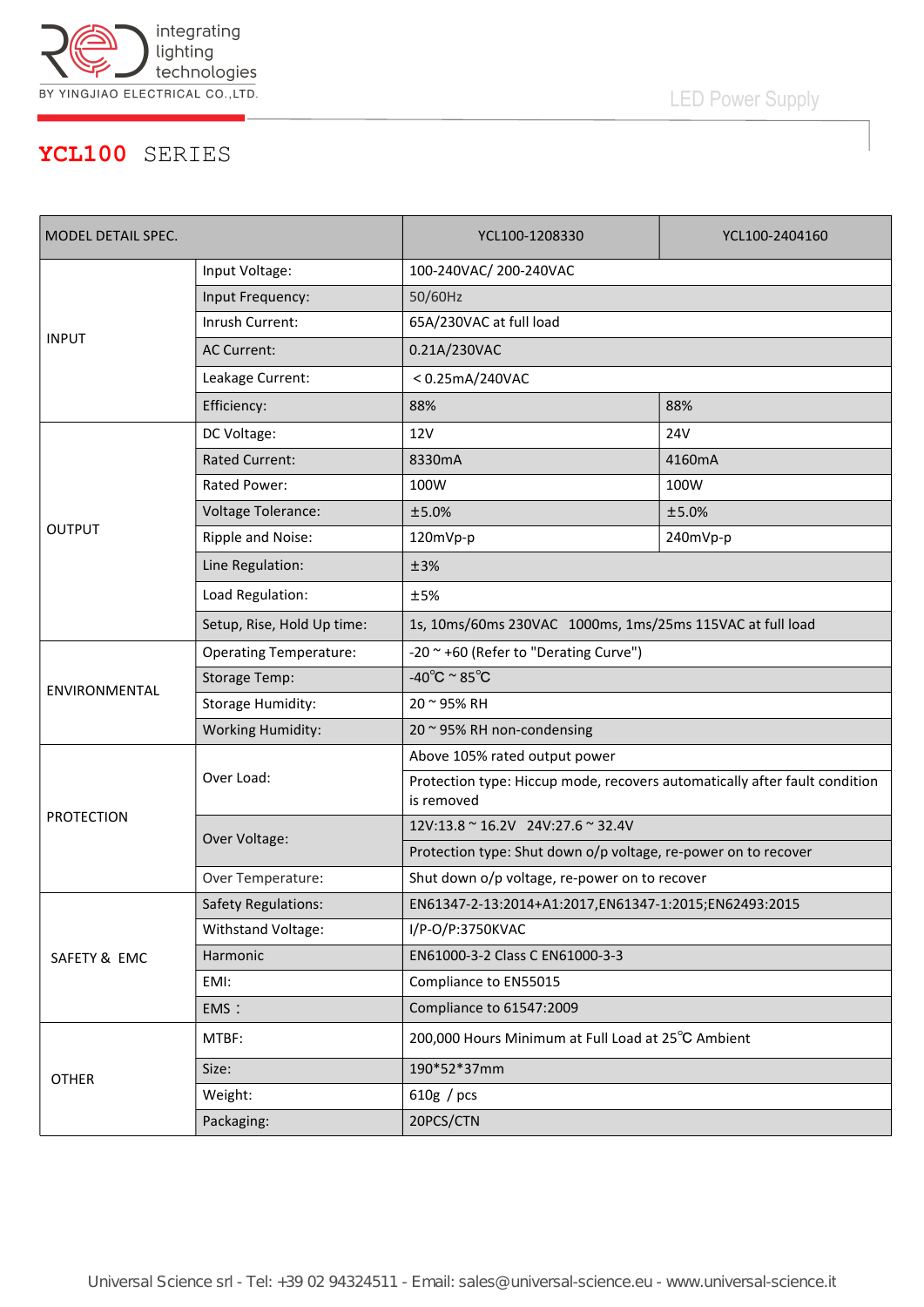

LED Power Supply

## **YCL100** SERIES

| MODEL DETAIL SPEC. |                               | YCL100-1208330                                                                           | YCL100-2404160 |
|--------------------|-------------------------------|------------------------------------------------------------------------------------------|----------------|
| <b>INPUT</b>       | Input Voltage:                | 100-240VAC/200-240VAC                                                                    |                |
|                    | Input Frequency:              | 50/60Hz                                                                                  |                |
|                    | Inrush Current:               | 65A/230VAC at full load                                                                  |                |
|                    | <b>AC Current:</b>            | 0.21A/230VAC                                                                             |                |
|                    | Leakage Current:              | <0.25mA/240VAC                                                                           |                |
|                    | Efficiency:                   | 88%                                                                                      | 88%            |
| <b>OUTPUT</b>      | DC Voltage:                   | 12 <sub>V</sub>                                                                          | <b>24V</b>     |
|                    | <b>Rated Current:</b>         | 8330mA                                                                                   | 4160mA         |
|                    | Rated Power:                  | 100W                                                                                     | 100W           |
|                    | Voltage Tolerance:            | ±5.0%                                                                                    | ±5.0%          |
|                    | Ripple and Noise:             | 120mVp-p                                                                                 | 240mVp-p       |
|                    | Line Regulation:              | ±3%                                                                                      |                |
|                    | Load Regulation:              | ±5%                                                                                      |                |
|                    | Setup, Rise, Hold Up time:    | 1s, 10ms/60ms 230VAC 1000ms, 1ms/25ms 115VAC at full load                                |                |
| ENVIRONMENTAL      | <b>Operating Temperature:</b> | -20 ~ +60 (Refer to "Derating Curve")                                                    |                |
|                    | <b>Storage Temp:</b>          | -40 $^{\circ}$ C ~ 85 $^{\circ}$ C                                                       |                |
|                    | <b>Storage Humidity:</b>      | 20 ~ 95% RH                                                                              |                |
|                    | <b>Working Humidity:</b>      | 20 ~ 95% RH non-condensing                                                               |                |
| <b>PROTECTION</b>  | Over Load:                    | Above 105% rated output power                                                            |                |
|                    |                               | Protection type: Hiccup mode, recovers automatically after fault condition<br>is removed |                |
|                    | Over Voltage:                 | 12V:13.8 ~ 16.2V 24V:27.6 ~ 32.4V                                                        |                |
|                    |                               | Protection type: Shut down o/p voltage, re-power on to recover                           |                |
|                    | Over Temperature:             | Shut down o/p voltage, re-power on to recover                                            |                |
| SAFETY & EMC       | <b>Safety Regulations:</b>    | EN61347-2-13:2014+A1:2017,EN61347-1:2015;EN62493:2015                                    |                |
|                    | Withstand Voltage:            | I/P-O/P:3750KVAC                                                                         |                |
|                    | Harmonic                      | EN61000-3-2 Class C EN61000-3-3                                                          |                |
|                    | EMI:                          | Compliance to EN55015                                                                    |                |
|                    | EMS:                          | Compliance to 61547:2009                                                                 |                |
| <b>OTHER</b>       | MTBF:                         | 200,000 Hours Minimum at Full Load at 25°C Ambient                                       |                |
|                    | Size:                         | 190*52*37mm                                                                              |                |
|                    | Weight:                       | 610g / pcs                                                                               |                |
|                    | Packaging:                    | 20PCS/CTN                                                                                |                |